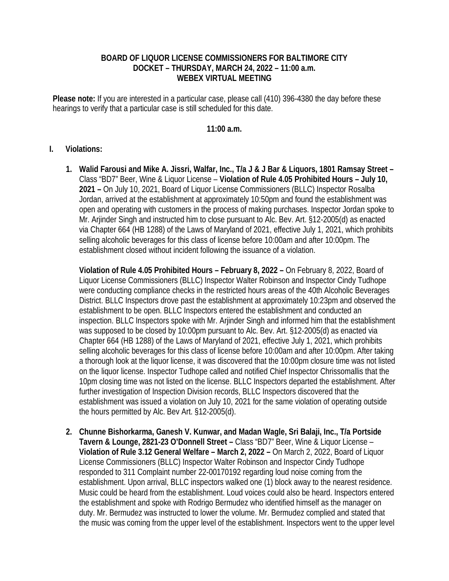## **BOARD OF LIQUOR LICENSE COMMISSIONERS FOR BALTIMORE CITY DOCKET – THURSDAY, MARCH 24, 2022 – 11:00 a.m. WEBEX VIRTUAL MEETING**

**Please note:** If you are interested in a particular case, please call (410) 396-4380 the day before these hearings to verify that a particular case is still scheduled for this date.

## **11:00 a.m.**

## **I. Violations:**

**1. Walid Farousi and Mike A. Jissri, Walfar, Inc., T/a J & J Bar & Liquors, 1801 Ramsay Street –**  Class "BD7" Beer, Wine & Liquor License – **Violation of Rule 4.05 Prohibited Hours – July 10, 2021 –** On July 10, 2021, Board of Liquor License Commissioners (BLLC) Inspector Rosalba Jordan, arrived at the establishment at approximately 10:50pm and found the establishment was open and operating with customers in the process of making purchases. Inspector Jordan spoke to Mr. Arjinder Singh and instructed him to close pursuant to Alc. Bev. Art. §12-2005(d) as enacted via Chapter 664 (HB 1288) of the Laws of Maryland of 2021, effective July 1, 2021, which prohibits selling alcoholic beverages for this class of license before 10:00am and after 10:00pm. The establishment closed without incident following the issuance of a violation.

**Violation of Rule 4.05 Prohibited Hours – February 8, 2022 –** On February 8, 2022, Board of Liquor License Commissioners (BLLC) Inspector Walter Robinson and Inspector Cindy Tudhope were conducting compliance checks in the restricted hours areas of the 40th Alcoholic Beverages District. BLLC Inspectors drove past the establishment at approximately 10:23pm and observed the establishment to be open. BLLC Inspectors entered the establishment and conducted an inspection. BLLC Inspectors spoke with Mr. Arjinder Singh and informed him that the establishment was supposed to be closed by 10:00pm pursuant to Alc. Bev. Art. §12-2005(d) as enacted via Chapter 664 (HB 1288) of the Laws of Maryland of 2021, effective July 1, 2021, which prohibits selling alcoholic beverages for this class of license before 10:00am and after 10:00pm. After taking a thorough look at the liquor license, it was discovered that the 10:00pm closure time was not listed on the liquor license. Inspector Tudhope called and notified Chief Inspector Chrissomallis that the 10pm closing time was not listed on the license. BLLC Inspectors departed the establishment. After further investigation of Inspection Division records, BLLC Inspectors discovered that the establishment was issued a violation on July 10, 2021 for the same violation of operating outside the hours permitted by Alc. Bev Art. §12-2005(d).

**2. Chunne Bishorkarma, Ganesh V. Kunwar, and Madan Wagle, Sri Balaji, Inc., T/a Portside Tavern & Lounge, 2821-23 O'Donnell Street –** Class "BD7" Beer, Wine & Liquor License – **Violation of Rule 3.12 General Welfare – March 2, 2022 –** On March 2, 2022, Board of Liquor License Commissioners (BLLC) Inspector Walter Robinson and Inspector Cindy Tudhope responded to 311 Complaint number 22-00170192 regarding loud noise coming from the establishment. Upon arrival, BLLC inspectors walked one (1) block away to the nearest residence. Music could be heard from the establishment. Loud voices could also be heard. Inspectors entered the establishment and spoke with Rodrigo Bermudez who identified himself as the manager on duty. Mr. Bermudez was instructed to lower the volume. Mr. Bermudez complied and stated that the music was coming from the upper level of the establishment. Inspectors went to the upper level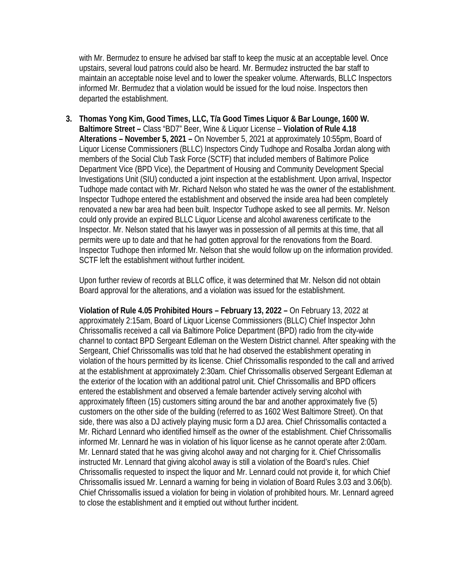with Mr. Bermudez to ensure he advised bar staff to keep the music at an acceptable level. Once upstairs, several loud patrons could also be heard. Mr. Bermudez instructed the bar staff to maintain an acceptable noise level and to lower the speaker volume. Afterwards, BLLC Inspectors informed Mr. Bermudez that a violation would be issued for the loud noise. Inspectors then departed the establishment.

**3. Thomas Yong Kim, Good Times, LLC, T/a Good Times Liquor & Bar Lounge, 1600 W. Baltimore Street –** Class "BD7" Beer, Wine & Liquor License – **Violation of Rule 4.18 Alterations – November 5, 2021 –** On November 5, 2021 at approximately 10:55pm, Board of Liquor License Commissioners (BLLC) Inspectors Cindy Tudhope and Rosalba Jordan along with members of the Social Club Task Force (SCTF) that included members of Baltimore Police Department Vice (BPD Vice), the Department of Housing and Community Development Special Investigations Unit (SIU) conducted a joint inspection at the establishment. Upon arrival, Inspector Tudhope made contact with Mr. Richard Nelson who stated he was the owner of the establishment. Inspector Tudhope entered the establishment and observed the inside area had been completely renovated a new bar area had been built. Inspector Tudhope asked to see all permits. Mr. Nelson could only provide an expired BLLC Liquor License and alcohol awareness certificate to the Inspector. Mr. Nelson stated that his lawyer was in possession of all permits at this time, that all permits were up to date and that he had gotten approval for the renovations from the Board. Inspector Tudhope then informed Mr. Nelson that she would follow up on the information provided. SCTF left the establishment without further incident.

Upon further review of records at BLLC office, it was determined that Mr. Nelson did not obtain Board approval for the alterations, and a violation was issued for the establishment.

**Violation of Rule 4.05 Prohibited Hours – February 13, 2022 –** On February 13, 2022 at approximately 2:15am, Board of Liquor License Commissioners (BLLC) Chief Inspector John Chrissomallis received a call via Baltimore Police Department (BPD) radio from the city-wide channel to contact BPD Sergeant Edleman on the Western District channel. After speaking with the Sergeant, Chief Chrissomallis was told that he had observed the establishment operating in violation of the hours permitted by its license. Chief Chrissomallis responded to the call and arrived at the establishment at approximately 2:30am. Chief Chrissomallis observed Sergeant Edleman at the exterior of the location with an additional patrol unit. Chief Chrissomallis and BPD officers entered the establishment and observed a female bartender actively serving alcohol with approximately fifteen (15) customers sitting around the bar and another approximately five (5) customers on the other side of the building (referred to as 1602 West Baltimore Street). On that side, there was also a DJ actively playing music form a DJ area. Chief Chrissomallis contacted a Mr. Richard Lennard who identified himself as the owner of the establishment. Chief Chrissomallis informed Mr. Lennard he was in violation of his liquor license as he cannot operate after 2:00am. Mr. Lennard stated that he was giving alcohol away and not charging for it. Chief Chrissomallis instructed Mr. Lennard that giving alcohol away is still a violation of the Board's rules. Chief Chrissomallis requested to inspect the liquor and Mr. Lennard could not provide it, for which Chief Chrissomallis issued Mr. Lennard a warning for being in violation of Board Rules 3.03 and 3.06(b). Chief Chrissomallis issued a violation for being in violation of prohibited hours. Mr. Lennard agreed to close the establishment and it emptied out without further incident.